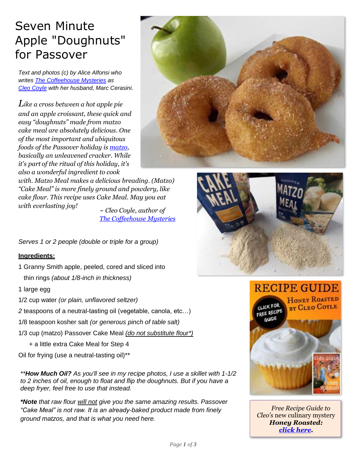## Seven Minute Apple "Doughnuts" for Passover

*Text and photos (c) by Alice Alfonsi who writes The [Coffeehouse Mysteries](http://www.coffeehousemystery.com/about_coffeehouse_mystery_books.cfm) a[s](http://www.cleocoylerecipes.com/p/about_7.html) [Cleo Coyle](http://www.cleocoylerecipes.com/p/about_7.html) with her husband, Marc Cerasini.*

*Like a cross between a hot apple pie and an apple croissant, these quick and easy "doughnuts" made from matzo cake meal are absolutely delicious. One of the most important and ubiquitous foods of the Passover holiday is [matzo,](http://en.wikipedia.org/wiki/Matzo) basically an unleavened cracker. While it's part of the ritual of this holiday, it's also a wonderful ingredient to cook* 

*with. Matzo Meal makes a delicious breading. (Matzo) "Cake Meal" is more finely ground and powdery, like cake flour. This recipe uses Cake Meal. May you eat with everlasting joy!*

*~ Cleo Coyle, author of [The Coffeehouse Mysteries](http://www.coffeehousemystery.com/about_coffeehouse_mystery_books.cfm)*

*Serves 1 or 2 people (double or triple for a group)*

## **Ingredients:**

- 1 Granny Smith apple, peeled, cored and sliced into thin rings *(about 1/8-inch in thickness)*
- 1 large egg
- 1/2 cup water *(or plain, unflavored seltzer)*
- *2* teaspoons of a neutral-tasting oil (vegetable, canola, etc…)
- 1/8 teaspoon kosher salt *(or generous pinch of table salt)*
- 1/3 cup (matzo) Passover Cake Meal *(do not substitute flour\*)*
	- + a little extra Cake Meal for Step 4
- Oil for frying (use a neutral-tasting oil)\*\*

*\*\*How Much Oil? As you'll see in my recipe photos, I use a skillet with 1-1/2 to 2 inches of oil, enough to float and flip the doughnuts. But if you have a deep fryer, feel free to use that instead.*

*\*Note that raw flour will not give you the same amazing results. Passover "Cake Meal" is not raw. It is an already-baked product made from finely ground matzos, and that is what you need here.*





**RECIPE GUIDE HONEY ROASTED LICK FOR** BY CLEO COYLE FREE RECIPE



*[Free Recipe Guide to](https://www.coffeehousemystery.com/userfiles/file/Honey-Roasted-Recipe-Guide-Cleo-Coyle.pdf)  Cleo's* new culinary mystery *Honey Roasted: [click here.](https://www.coffeehousemystery.com/userfiles/file/Honey-Roasted-Recipe-Guide-Cleo-Coyle.pdf)*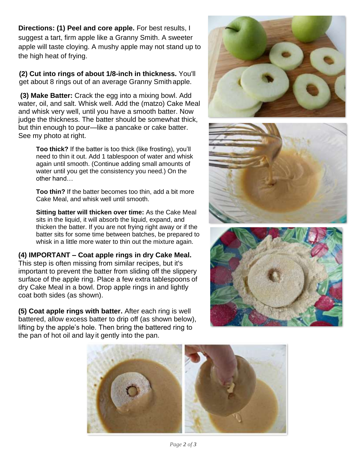**Directions: (1) Peel and core apple.** For best results, I suggest a tart, firm apple like a Granny Smith. A sweeter apple will taste cloying. A mushy apple may not stand up to the high heat of frying.

 **(2) Cut into rings of about 1/8-inch in thickness.** You'll get about 8 rings out of an average Granny Smith apple.

**(3) Make Batter:** Crack the egg into a mixing bowl. Add water, oil, and salt. Whisk well. Add the (matzo) Cake Meal and whisk very well, until you have a smooth batter. Now judge the thickness. The batter should be somewhat thick, but thin enough to pour—like a pancake or cake batter. See my photo at right.

**Too thick?** If the batter is too thick (like frosting), you'll need to thin it out. Add 1 tablespoon of water and whisk again until smooth. (Continue adding small amounts of water until you get the consistency you need.) On the other hand…

**Too thin?** If the batter becomes too thin, add a bit more Cake Meal, and whisk well until smooth.

**Sitting batter will thicken over time:** As the Cake Meal sits in the liquid, it will absorb the liquid, expand, and thicken the batter. If you are not frying right away or if the batter sits for some time between batches, be prepared to whisk in a little more water to thin out the mixture again.

**(4) IMPORTANT – Coat apple rings in dry Cake Meal.**  This step is often missing from similar recipes, but it's important to prevent the batter from sliding off the slippery surface of the apple ring. Place a few extra tablespoons of dry Cake Meal in a bowl. Drop apple rings in and lightly coat both sides (as shown).

**(5) Coat apple rings with batter.** After each ring is well battered, allow excess batter to drip off (as shown below), lifting by the apple's hole. Then bring the battered ring to the pan of hot oil and lay it gently into the pan.









*Page 2 of 3*